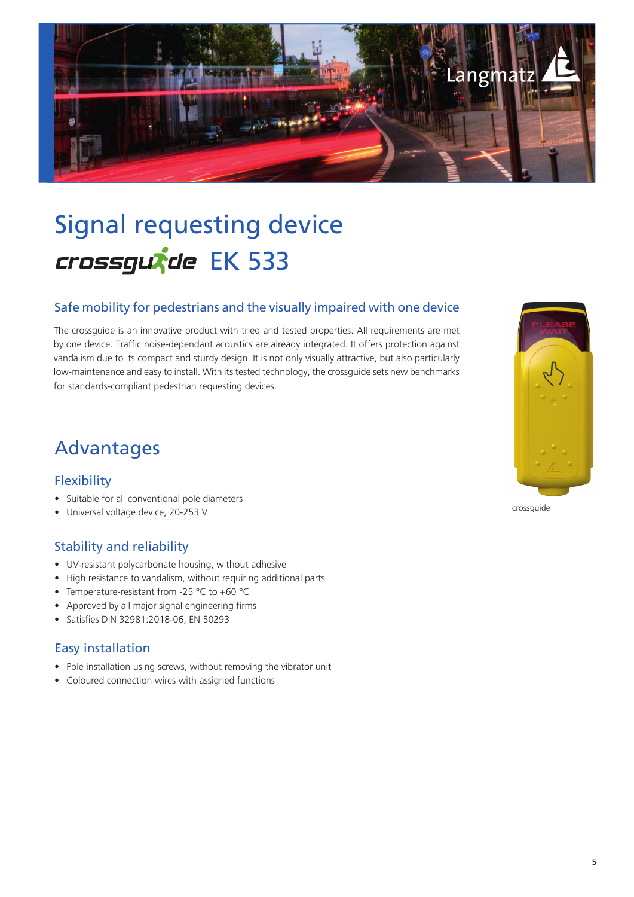

# Signal requesting device crossgutde EK 533

#### Safe mobility for pedestrians and the visually impaired with one device

The crossguide is an innovative product with tried and tested properties. All requirements are met by one device. Traffic noise-dependant acoustics are already integrated. It offers protection against vandalism due to its compact and sturdy design. It is not only visually attractive, but also particularly low-maintenance and easy to install. With its tested technology, the crossguide sets new benchmarks for standards-compliant pedestrian requesting devices.

### Advantages

#### **Flexibility**

- Suitable for all conventional pole diameters
- Universal voltage device, 20-253 V

#### Stability and reliability

- UV-resistant polycarbonate housing, without adhesive
- High resistance to vandalism, without requiring additional parts
- Temperature-resistant from -25 °C to +60 °C
- Approved by all major signal engineering firms
- Satisfies DIN 32981:2018-06, EN 50293

#### Easy installation

- Pole installation using screws, without removing the vibrator unit
- Coloured connection wires with assigned functions



crossguide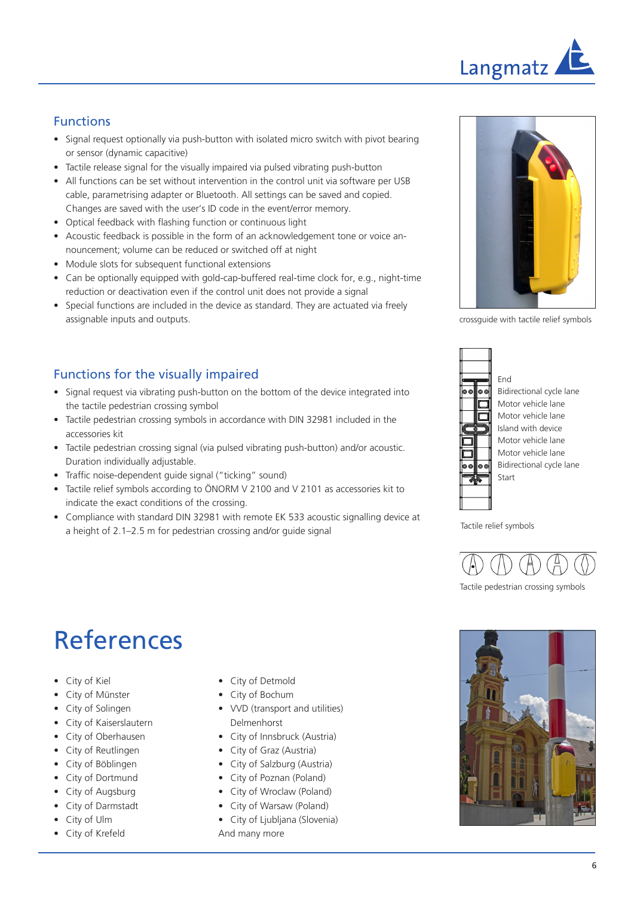

#### Functions

- Signal request optionally via push-button with isolated micro switch with pivot bearing or sensor (dynamic capacitive)
- Tactile release signal for the visually impaired via pulsed vibrating push-button
- All functions can be set without intervention in the control unit via software per USB cable, parametrising adapter or Bluetooth. All settings can be saved and copied. Changes are saved with the user's ID code in the event/error memory.
- Optical feedback with flashing function or continuous light
- Acoustic feedback is possible in the form of an acknowledgement tone or voice announcement; volume can be reduced or switched off at night
- Module slots for subsequent functional extensions
- Can be optionally equipped with gold-cap-buffered real-time clock for, e.g., night-time reduction or deactivation even if the control unit does not provide a signal
- Special functions are included in the device as standard. They are actuated via freely assignable inputs and outputs.

#### Functions for the visually impaired

- Signal request via vibrating push-button on the bottom of the device integrated into the tactile pedestrian crossing symbol
- Tactile pedestrian crossing symbols in accordance with DIN 32981 included in the accessories kit
- Tactile pedestrian crossing signal (via pulsed vibrating push-button) and/or acoustic. Duration individually adjustable.
- Traffic noise-dependent quide signal ("ticking" sound)
- Tactile relief symbols according to ÖNORM V 2100 and V 2101 as accessories kit to indicate the exact conditions of the crossing.
- Compliance with standard DIN 32981 with remote EK 533 acoustic signalling device at a height of 2.1–2.5 m for pedestrian crossing and/or guide signal



crossguide with tactile relief symbols





Tactile relief symbols



#### Tactile pedestrian crossing symbols

## References

- City of Kiel
- City of Münster
- City of Solingen
- City of Kaiserslautern
- City of Oberhausen
- City of Reutlingen
- City of Böblingen
- City of Dortmund
- City of Augsburg
- City of Darmstadt
- City of Ulm
- City of Krefeld
- City of Detmold
- City of Bochum
- VVD (transport and utilities) Delmenhorst
- City of Innsbruck (Austria)
- City of Graz (Austria)
- City of Salzburg (Austria)
- City of Poznan (Poland)
- City of Wroclaw (Poland)
- City of Warsaw (Poland)
- City of Ljubljana (Slovenia) And many more